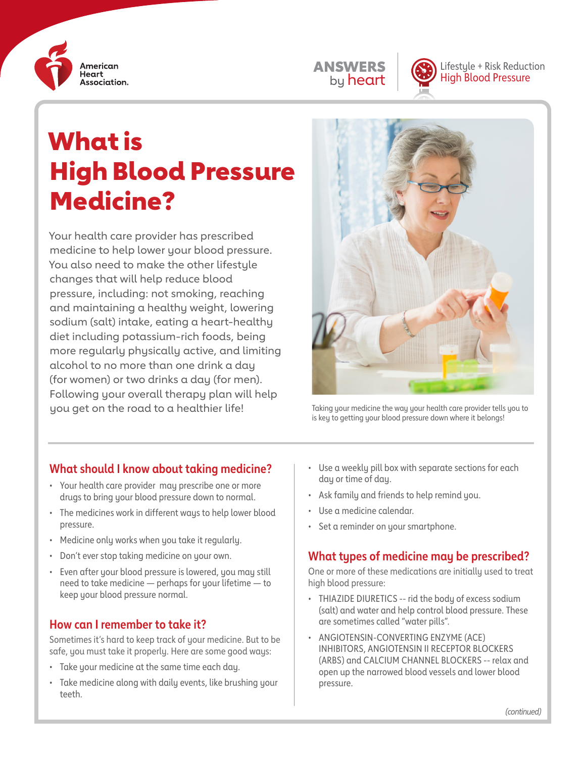

# ANSWERS by heart



Lifestyle + Risk Reduction High Blood Pressure

# What is High Blood Pressure Medicine?

Your health care provider has prescribed medicine to help lower your blood pressure. You also need to make the other lifestyle changes that will help reduce blood pressure, including: not smoking, reaching and maintaining a healthy weight, lowering sodium (salt) intake, eating a heart-healthy diet including potassium-rich foods, being more regularly physically active, and limiting alcohol to no more than one drink a day (for women) or two drinks a day (for men). Following your overall therapy plan will help you get on the road to a healthier life!



Taking your medicine the way your health care provider tells you to is key to getting your blood pressure down where it belongs!

# **What should I know about taking medicine?**

- Your health care provider may prescribe one or more drugs to bring your blood pressure down to normal.
- The medicines work in different ways to help lower blood pressure.
- Medicine only works when you take it regularly.
- Don't ever stop taking medicine on your own.
- Even after your blood pressure is lowered, you may still need to take medicine — perhaps for your lifetime — to keep your blood pressure normal.

### **How can I remember to take it?**

Sometimes it's hard to keep track of your medicine. But to be safe, you must take it properly. Here are some good ways:

- Take your medicine at the same time each day.
- Take medicine along with daily events, like brushing your teeth.
- Use a weekly pill box with separate sections for each day or time of day.
- Ask family and friends to help remind you.
- Use a medicine calendar.
- Set a reminder on your smartphone.

# **What types of medicine may be prescribed?**

One or more of these medications are initially used to treat high blood pressure:

- THIAZIDE DIURETICS -- rid the body of excess sodium (salt) and water and help control blood pressure. These are sometimes called "water pills".
- ANGIOTENSIN-CONVERTING ENZYME (ACE) INHIBITORS, ANGIOTENSIN II RECEPTOR BLOCKERS (ARBS) and CALCIUM CHANNEL BLOCKERS -- relax and open up the narrowed blood vessels and lower blood pressure.